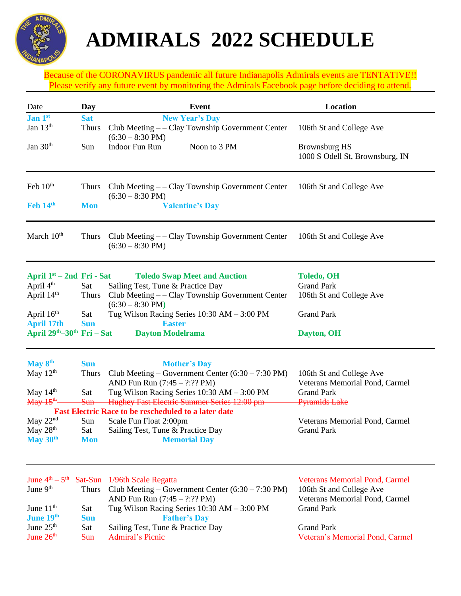

## **ADMIRALS 2022 SCHEDULE**

Because of the CORONAVIRUS pandemic all future Indianapolis Admirals events are TENTATIVE!! Please verify any future event by monitoring the Admirals Facebook page before deciding to attend.

| Date                                                        | Day          | <b>Event</b>                                                                                   | Location                                                   |  |  |  |
|-------------------------------------------------------------|--------------|------------------------------------------------------------------------------------------------|------------------------------------------------------------|--|--|--|
| Jan 1st                                                     | <b>Sat</b>   | <b>New Year's Day</b>                                                                          |                                                            |  |  |  |
| Jan $13th$                                                  | <b>Thurs</b> | Club Meeting - - Clay Township Government Center<br>$(6:30 - 8:30 \text{ PM})$                 | 106th St and College Ave                                   |  |  |  |
| Jan $30th$                                                  | Sun          | <b>Indoor Fun Run</b><br>Noon to 3 PM                                                          | <b>Brownsburg HS</b><br>1000 S Odell St, Brownsburg, IN    |  |  |  |
| Feb 10th                                                    | <b>Thurs</b> | Club Meeting - - Clay Township Government Center<br>$(6:30 - 8:30 \text{ PM})$                 | 106th St and College Ave                                   |  |  |  |
| Feb 14th                                                    | <b>Mon</b>   | <b>Valentine's Day</b>                                                                         |                                                            |  |  |  |
| March 10 <sup>th</sup>                                      | <b>Thurs</b> | Club Meeting - - Clay Township Government Center<br>$(6:30 - 8:30 \text{ PM})$                 | 106th St and College Ave                                   |  |  |  |
| April $1st - 2nd$ Fri - Sat                                 |              | <b>Toledo Swap Meet and Auction</b>                                                            | <b>Toledo, OH</b>                                          |  |  |  |
| April 4th                                                   | Sat          | Sailing Test, Tune & Practice Day                                                              | <b>Grand Park</b>                                          |  |  |  |
| April 14th                                                  | Thurs        | Club Meeting - - Clay Township Government Center<br>$(6:30 - 8:30 \text{ PM})$                 | 106th St and College Ave                                   |  |  |  |
| April 16 <sup>th</sup>                                      | Sat          | Tug Wilson Racing Series $10:30$ AM $- 3:00$ PM                                                | <b>Grand Park</b>                                          |  |  |  |
| <b>April 17th</b>                                           | <b>Sun</b>   | <b>Easter</b>                                                                                  |                                                            |  |  |  |
| April $29th-30th$ Fri – Sat                                 |              | <b>Dayton Modelrama</b>                                                                        | Dayton, OH                                                 |  |  |  |
| May 8 <sup>th</sup>                                         | <b>Sun</b>   | <b>Mother's Day</b>                                                                            |                                                            |  |  |  |
| May $12th$                                                  | Thurs        | Club Meeting – Government Center $(6:30 - 7:30 \text{ PM})$<br>AND Fun Run $(7:45 - ?$ :?? PM) | 106th St and College Ave<br>Veterans Memorial Pond, Carmel |  |  |  |
| May $14th$                                                  | Sat          | Tug Wilson Racing Series 10:30 AM - 3:00 PM                                                    | <b>Grand Park</b>                                          |  |  |  |
| $\frac{\text{May}}{15}$ <sup>th</sup>                       | $S$ un       | Hughey Fast Electric Summer Series 12:00 pm                                                    | <b>Pyramids Lake</b>                                       |  |  |  |
| <b>Fast Electric Race to be rescheduled to a later date</b> |              |                                                                                                |                                                            |  |  |  |
| May $22nd$                                                  | Sun          | Scale Fun Float 2:00pm                                                                         | Veterans Memorial Pond, Carmel                             |  |  |  |
| May 28 <sup>th</sup>                                        | Sat          | Sailing Test, Tune & Practice Day                                                              | <b>Grand Park</b>                                          |  |  |  |
| May 30th                                                    | <b>Mon</b>   | <b>Memorial Day</b>                                                                            |                                                            |  |  |  |
| June $4^{\text{th}} - 5^{\text{th}}$                        |              | Sat-Sun 1/96th Scale Regatta                                                                   | <b>Veterans Memorial Pond, Carmel</b>                      |  |  |  |
| June 9 <sup>th</sup>                                        | Thurs        | Club Meeting – Government Center $(6:30 - 7:30 \text{ PM})$<br>AND Fun Run (7:45 - ?:?? PM)    | 106th St and College Ave<br>Veterans Memorial Pond, Carmel |  |  |  |
| June $11th$                                                 | Sat          | Tug Wilson Racing Series 10:30 AM - 3:00 PM                                                    | <b>Grand Park</b>                                          |  |  |  |
| June 19th                                                   | <b>Sun</b>   | <b>Father's Day</b>                                                                            |                                                            |  |  |  |
| June $25th$                                                 | Sat          | Sailing Test, Tune & Practice Day                                                              | <b>Grand Park</b>                                          |  |  |  |
| June $26th$                                                 | Sun          | <b>Admiral's Picnic</b>                                                                        | Veteran's Memorial Pond, Carmel                            |  |  |  |